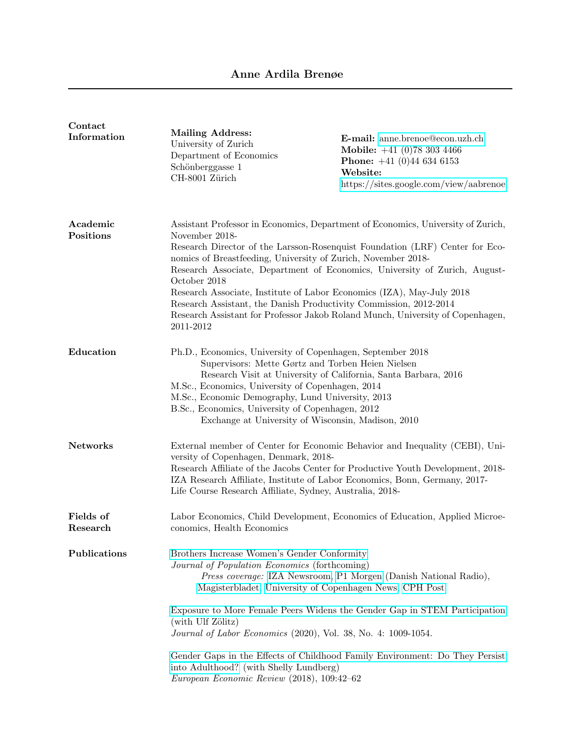| Contact               |                                                                                                                                                                                                                                                                                                                                                                                                       |                                                                                                                                                                                                                                                                                                                                  |
|-----------------------|-------------------------------------------------------------------------------------------------------------------------------------------------------------------------------------------------------------------------------------------------------------------------------------------------------------------------------------------------------------------------------------------------------|----------------------------------------------------------------------------------------------------------------------------------------------------------------------------------------------------------------------------------------------------------------------------------------------------------------------------------|
| Information           | <b>Mailing Address:</b><br>University of Zurich<br>Department of Economics<br>Schönberggasse 1<br>CH-8001 Zürich                                                                                                                                                                                                                                                                                      | E-mail: anne.brenoe@econ.uzh.ch<br>Mobile: $+41$ (0)78 303 4466<br><b>Phone:</b> $+41$ (0)44 634 6153<br>Website:<br>https://sites.google.com/view/aabrenoe                                                                                                                                                                      |
| Academic<br>Positions | November 2018-<br>nomics of Breastfeeding, University of Zurich, November 2018-<br>October 2018<br>Research Associate, Institute of Labor Economics (IZA), May-July 2018<br>Research Assistant, the Danish Productivity Commission, 2012-2014<br>2011-2012                                                                                                                                            | Assistant Professor in Economics, Department of Economics, University of Zurich,<br>Research Director of the Larsson-Rosenquist Foundation (LRF) Center for Eco-<br>Research Associate, Department of Economics, University of Zurich, August-<br>Research Assistant for Professor Jakob Roland Munch, University of Copenhagen, |
| Education             | Ph.D., Economics, University of Copenhagen, September 2018<br>Supervisors: Mette Gørtz and Torben Heien Nielsen<br>Research Visit at University of California, Santa Barbara, 2016<br>M.Sc., Economics, University of Copenhagen, 2014<br>M.Sc., Economic Demography, Lund University, 2013<br>B.Sc., Economics, University of Copenhagen, 2012<br>Exchange at University of Wisconsin, Madison, 2010 |                                                                                                                                                                                                                                                                                                                                  |
| <b>Networks</b>       | versity of Copenhagen, Denmark, 2018-<br>IZA Research Affiliate, Institute of Labor Economics, Bonn, Germany, 2017-<br>Life Course Research Affiliate, Sydney, Australia, 2018-                                                                                                                                                                                                                       | External member of Center for Economic Behavior and Inequality (CEBI), Uni-<br>Research Affiliate of the Jacobs Center for Productive Youth Development, 2018-                                                                                                                                                                   |
| Fields of<br>Research | conomics, Health Economics                                                                                                                                                                                                                                                                                                                                                                            | Labor Economics, Child Development, Economics of Education, Applied Microe-                                                                                                                                                                                                                                                      |
| Publications          | Brothers Increase Women's Gender Conformity<br>Journal of Population Economics (forthcoming)<br>Magisterbladet, University of Copenhagen News, CPH Post                                                                                                                                                                                                                                               | Press coverage: IZA Newsroom, P1 Morgen (Danish National Radio),                                                                                                                                                                                                                                                                 |
|                       | Exposure to More Female Peers Widens the Gender Gap in STEM Participation<br>(with Ulf Zölitz)<br>Journal of Labor Economics (2020), Vol. 38, No. 4: 1009-1054.                                                                                                                                                                                                                                       |                                                                                                                                                                                                                                                                                                                                  |
|                       | into Adulthood? (with Shelly Lundberg)<br>European Economic Review (2018), 109:42-62                                                                                                                                                                                                                                                                                                                  | Gender Gaps in the Effects of Childhood Family Environment: Do They Persist                                                                                                                                                                                                                                                      |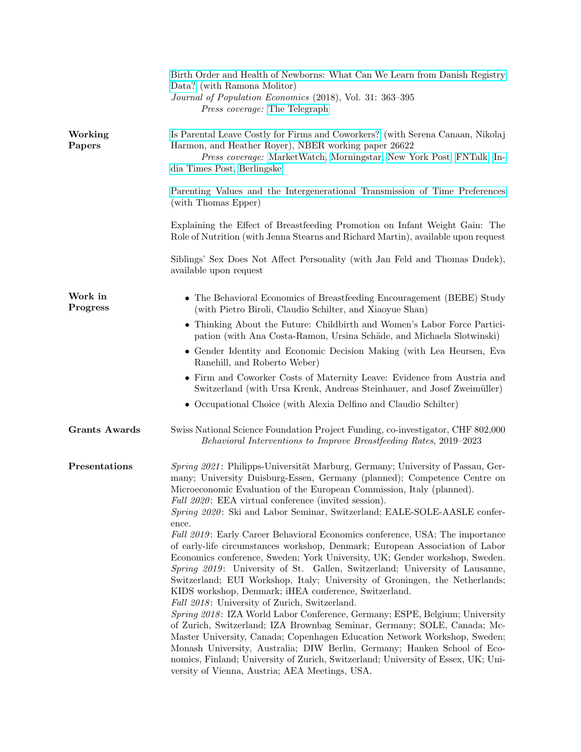|                      | Birth Order and Health of Newborns: What Can We Learn from Danish Registry<br>Data? (with Ramona Molitor)<br>Journal of Population Economics (2018), Vol. 31: 363-395<br><i>Press coverage:</i> The Telegraph                                                                                                                                                                                                                                                                                                                |
|----------------------|------------------------------------------------------------------------------------------------------------------------------------------------------------------------------------------------------------------------------------------------------------------------------------------------------------------------------------------------------------------------------------------------------------------------------------------------------------------------------------------------------------------------------|
| Working<br>Papers    | Is Parental Leave Costly for Firms and Coworkers? (with Serena Canaan, Nikolaj<br>Harmon, and Heather Royer), NBER working paper 26622<br>Press coverage: MarketWatch, Morningstar, New York Post, FNTalk, In-<br>dia Times Post, Berlingske                                                                                                                                                                                                                                                                                 |
|                      | Parenting Values and the Intergenerational Transmission of Time Preferences<br>(with Thomas Epper)                                                                                                                                                                                                                                                                                                                                                                                                                           |
|                      | Explaining the Effect of Breastfeeding Promotion on Infant Weight Gain: The<br>Role of Nutrition (with Jenna Stearns and Richard Martin), available upon request                                                                                                                                                                                                                                                                                                                                                             |
|                      | Siblings' Sex Does Not Affect Personality (with Jan Feld and Thomas Dudek),<br>available upon request                                                                                                                                                                                                                                                                                                                                                                                                                        |
| Work in<br>Progress  | • The Behavioral Economics of Breastfeeding Encouragement (BEBE) Study<br>(with Pietro Biroli, Claudio Schilter, and Xiaoyue Shan)                                                                                                                                                                                                                                                                                                                                                                                           |
|                      | • Thinking About the Future: Childbirth and Women's Labor Force Partici-<br>pation (with Ana Costa-Ramon, Ursina Schäde, and Michaela Slotwinski)                                                                                                                                                                                                                                                                                                                                                                            |
|                      | • Gender Identity and Economic Decision Making (with Lea Heursen, Eva<br>Ranehill, and Roberto Weber)                                                                                                                                                                                                                                                                                                                                                                                                                        |
|                      | • Firm and Coworker Costs of Maternity Leave: Evidence from Austria and<br>Switzerland (with Ursa Krenk, Andreas Steinhauer, and Josef Zweimüller)                                                                                                                                                                                                                                                                                                                                                                           |
|                      | • Occupational Choice (with Alexia Delfino and Claudio Schilter)                                                                                                                                                                                                                                                                                                                                                                                                                                                             |
| <b>Grants Awards</b> | Swiss National Science Foundation Project Funding, co-investigator, CHF 802,000<br>Behavioral Interventions to Improve Breastfeeding Rates, 2019–2023                                                                                                                                                                                                                                                                                                                                                                        |
| Presentations        | Spring 2021: Philipps-Universität Marburg, Germany; University of Passau, Ger-<br>many; University Duisburg-Essen, Germany (planned); Competence Centre on<br>Microeconomic Evaluation of the European Commission, Italy (planned).<br><i>Fall 2020</i> : EEA virtual conference (invited session).<br>Spring 2020: Ski and Labor Seminar, Switzerland; EALE-SOLE-AASLE confer-                                                                                                                                              |
|                      | ence.<br>Fall 2019: Early Career Behavioral Economics conference, USA; The importance<br>of early-life circumstances workshop, Denmark; European Association of Labor<br>Economics conference, Sweden; York University, UK; Gender workshop, Sweden.<br>Spring 2019: University of St. Gallen, Switzerland; University of Lausanne,<br>Switzerland; EUI Workshop, Italy; University of Groningen, the Netherlands;<br>KIDS workshop, Denmark; iHEA conference, Switzerland.<br>Fall 2018: University of Zurich, Switzerland. |
|                      | Spring 2018: IZA World Labor Conference, Germany; ESPE, Belgium; University<br>of Zurich, Switzerland; IZA Brownbag Seminar, Germany; SOLE, Canada; Mc-<br>Master University, Canada; Copenhagen Education Network Workshop, Sweden;<br>Monash University, Australia; DIW Berlin, Germany; Hanken School of Eco-<br>nomics, Finland; University of Zurich, Switzerland; University of Essex, UK; Uni-<br>versity of Vienna, Austria; AEA Meetings, USA.                                                                      |